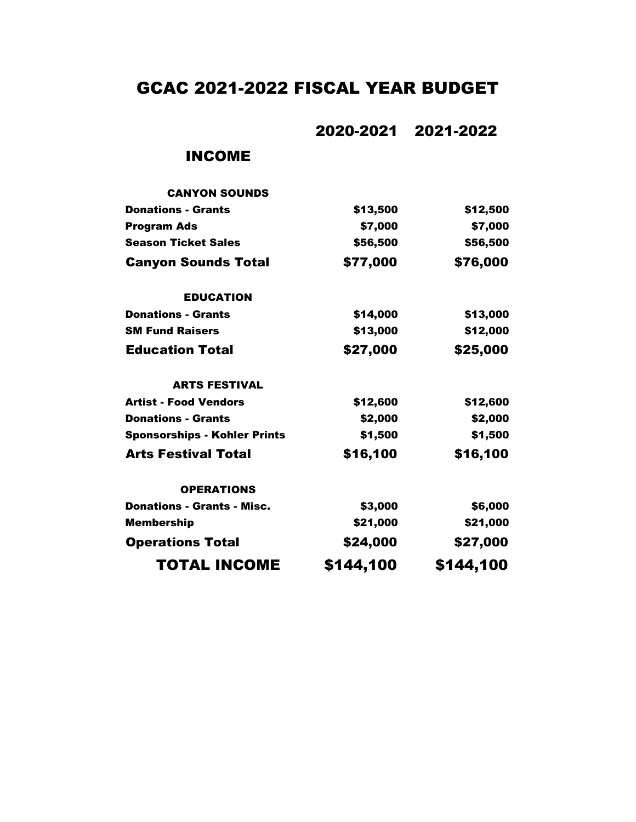# GCAC 2021-2022 FISCAL YEAR BUDGET

2020-2021 2021-2022

### INCOME

| <b>CANYON SOUNDS</b>                |           |           |
|-------------------------------------|-----------|-----------|
| <b>Donations - Grants</b>           | \$13,500  | \$12,500  |
| <b>Program Ads</b>                  | \$7,000   | \$7,000   |
| <b>Season Ticket Sales</b>          | \$56,500  | \$56,500  |
| <b>Canyon Sounds Total</b>          | \$77,000  | \$76,000  |
| <b>EDUCATION</b>                    |           |           |
| <b>Donations - Grants</b>           | \$14,000  | \$13,000  |
| <b>SM Fund Raisers</b>              | \$13,000  | \$12,000  |
| <b>Education Total</b>              | \$27,000  | \$25,000  |
| <b>ARTS FESTIVAL</b>                |           |           |
| <b>Artist - Food Vendors</b>        | \$12,600  | \$12,600  |
| <b>Donations - Grants</b>           | \$2,000   | \$2,000   |
| <b>Sponsorships - Kohler Prints</b> | \$1,500   | \$1,500   |
| <b>Arts Festival Total</b>          | \$16,100  | \$16,100  |
| <b>OPERATIONS</b>                   |           |           |
| <b>Donations - Grants - Misc.</b>   | \$3,000   | \$6,000   |
| <b>Membership</b>                   | \$21,000  | \$21,000  |
| <b>Operations Total</b>             | \$24,000  | \$27,000  |
| <b>TOTAL INCOME</b>                 | \$144,100 | \$144,100 |